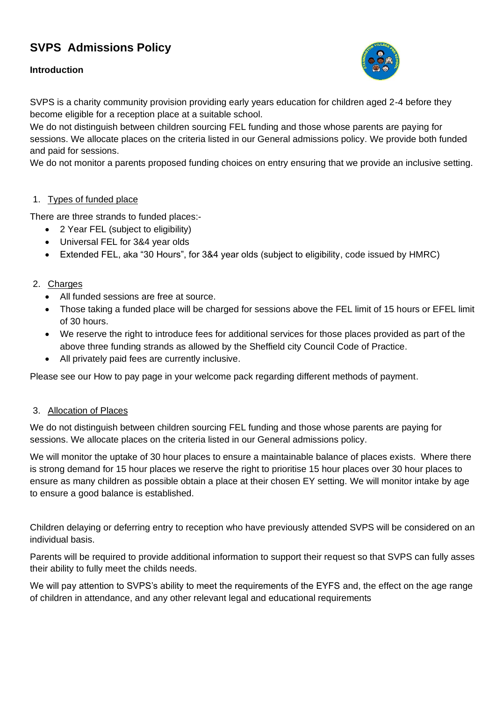# **SVPS Admissions Policy**

# **Introduction**



SVPS is a charity community provision providing early years education for children aged 2-4 before they become eligible for a reception place at a suitable school.

We do not distinguish between children sourcing FEL funding and those whose parents are paying for sessions. We allocate places on the criteria listed in our General admissions policy. We provide both funded and paid for sessions.

We do not monitor a parents proposed funding choices on entry ensuring that we provide an inclusive setting.

## 1. Types of funded place

There are three strands to funded places:-

- 2 Year FEL (subject to eligibility)
- Universal FEL for 3&4 year olds
- Extended FEL, aka "30 Hours", for 3&4 year olds (subject to eligibility, code issued by HMRC)

## 2. Charges

- All funded sessions are free at source.
- Those taking a funded place will be charged for sessions above the FEL limit of 15 hours or EFEL limit of 30 hours.
- We reserve the right to introduce fees for additional services for those places provided as part of the above three funding strands as allowed by the Sheffield city Council Code of Practice.
- All privately paid fees are currently inclusive.

Please see our How to pay page in your welcome pack regarding different methods of payment.

## 3. Allocation of Places

We do not distinguish between children sourcing FEL funding and those whose parents are paying for sessions. We allocate places on the criteria listed in our General admissions policy.

We will monitor the uptake of 30 hour places to ensure a maintainable balance of places exists. Where there is strong demand for 15 hour places we reserve the right to prioritise 15 hour places over 30 hour places to ensure as many children as possible obtain a place at their chosen EY setting. We will monitor intake by age to ensure a good balance is established.

Children delaying or deferring entry to reception who have previously attended SVPS will be considered on an individual basis.

Parents will be required to provide additional information to support their request so that SVPS can fully asses their ability to fully meet the childs needs.

We will pay attention to SVPS's ability to meet the requirements of the EYFS and, the effect on the age range of children in attendance, and any other relevant legal and educational requirements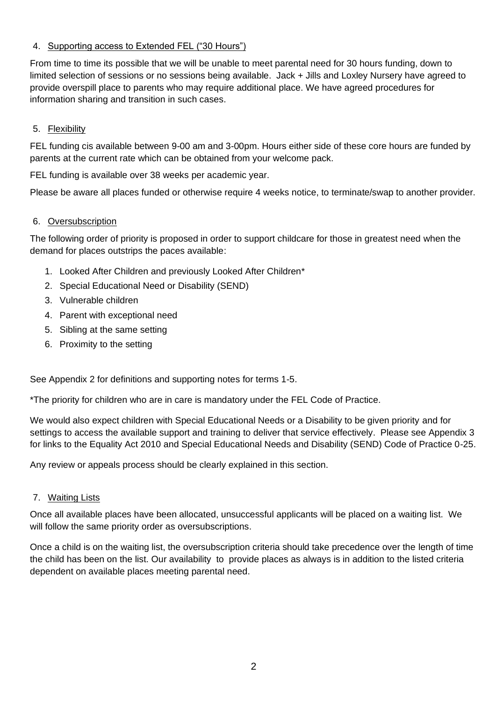# 4. Supporting access to Extended FEL ("30 Hours")

From time to time its possible that we will be unable to meet parental need for 30 hours funding, down to limited selection of sessions or no sessions being available. Jack + Jills and Loxley Nursery have agreed to provide overspill place to parents who may require additional place. We have agreed procedures for information sharing and transition in such cases.

# 5. Flexibility

FEL funding cis available between 9-00 am and 3-00pm. Hours either side of these core hours are funded by parents at the current rate which can be obtained from your welcome pack.

FEL funding is available over 38 weeks per academic year.

Please be aware all places funded or otherwise require 4 weeks notice, to terminate/swap to another provider.

## 6. Oversubscription

The following order of priority is proposed in order to support childcare for those in greatest need when the demand for places outstrips the paces available:

- 1. Looked After Children and previously Looked After Children\*
- 2. Special Educational Need or Disability (SEND)
- 3. Vulnerable children
- 4. Parent with exceptional need
- 5. Sibling at the same setting
- 6. Proximity to the setting

See Appendix 2 for definitions and supporting notes for terms 1-5.

\*The priority for children who are in care is mandatory under the FEL Code of Practice.

We would also expect children with Special Educational Needs or a Disability to be given priority and for settings to access the available support and training to deliver that service effectively. Please see Appendix 3 for links to the Equality Act 2010 and Special Educational Needs and Disability (SEND) Code of Practice 0-25.

Any review or appeals process should be clearly explained in this section.

## 7. Waiting Lists

Once all available places have been allocated, unsuccessful applicants will be placed on a waiting list. We will follow the same priority order as oversubscriptions.

Once a child is on the waiting list, the oversubscription criteria should take precedence over the length of time the child has been on the list. Our availability to provide places as always is in addition to the listed criteria dependent on available places meeting parental need.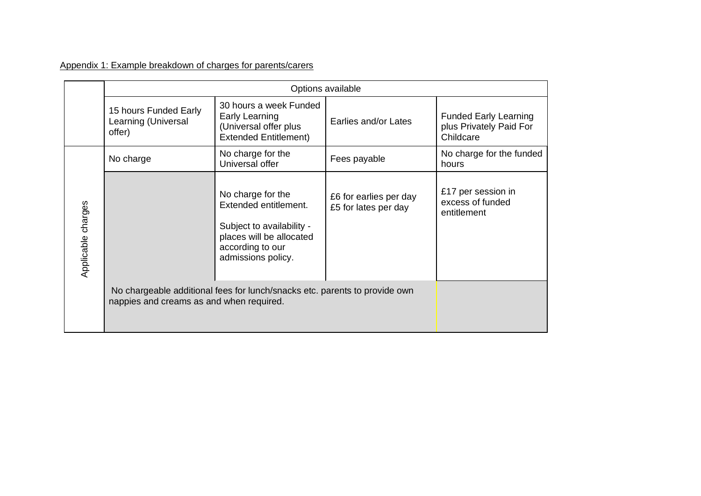Appendix 1: Example breakdown of charges for parents/carers

|                    | Options available                                                                                                      |                                                                                                                                               |                                                |                                                                      |
|--------------------|------------------------------------------------------------------------------------------------------------------------|-----------------------------------------------------------------------------------------------------------------------------------------------|------------------------------------------------|----------------------------------------------------------------------|
|                    | 15 hours Funded Early<br>Learning (Universal<br>offer)                                                                 | 30 hours a week Funded<br>Early Learning<br>(Universal offer plus<br><b>Extended Entitlement)</b>                                             | Earlies and/or Lates                           | <b>Funded Early Learning</b><br>plus Privately Paid For<br>Childcare |
| Applicable charges | No charge                                                                                                              | No charge for the<br>Universal offer                                                                                                          | Fees payable                                   | No charge for the funded<br>hours                                    |
|                    |                                                                                                                        | No charge for the<br>Extended entitlement.<br>Subject to availability -<br>places will be allocated<br>according to our<br>admissions policy. | £6 for earlies per day<br>£5 for lates per day | £17 per session in<br>excess of funded<br>entitlement                |
|                    | No chargeable additional fees for lunch/snacks etc. parents to provide own<br>nappies and creams as and when required. |                                                                                                                                               |                                                |                                                                      |